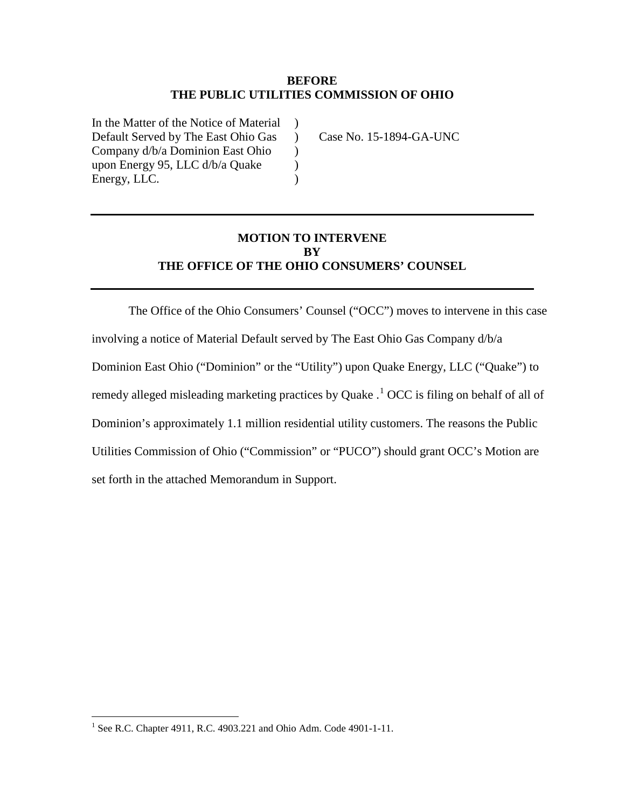#### **BEFORE THE PUBLIC UTILITIES COMMISSION OF OHIO**

 $\mathcal{L}$  $\mathcal{L}$  $\mathcal{L}$  $\mathcal{L}$  $\lambda$ 

In the Matter of the Notice of Material Default Served by The East Ohio Gas Company d/b/a Dominion East Ohio upon Energy 95, LLC d/b/a Quake Energy, LLC.

Case No. 15-1894-GA-UNC

# **MOTION TO INTERVENE BY THE OFFICE OF THE OHIO CONSUMERS' COUNSEL**

The Office of the Ohio Consumers' Counsel ("OCC") moves to intervene in this case involving a notice of Material Default served by The East Ohio Gas Company d/b/a Dominion East Ohio ("Dominion" or the "Utility") upon Quake Energy, LLC ("Quake") to remedy alleged misleading marketing practices by Quake  $\cdot$ <sup>[1](#page-0-0)</sup> OCC is filing on behalf of all of Dominion's approximately 1.1 million residential utility customers. The reasons the Public Utilities Commission of Ohio ("Commission" or "PUCO") should grant OCC's Motion are set forth in the attached Memorandum in Support.

 $\overline{a}$ 

<span id="page-0-0"></span><sup>&</sup>lt;sup>1</sup> See R.C. Chapter 4911, R.C. 4903.221 and Ohio Adm. Code 4901-1-11.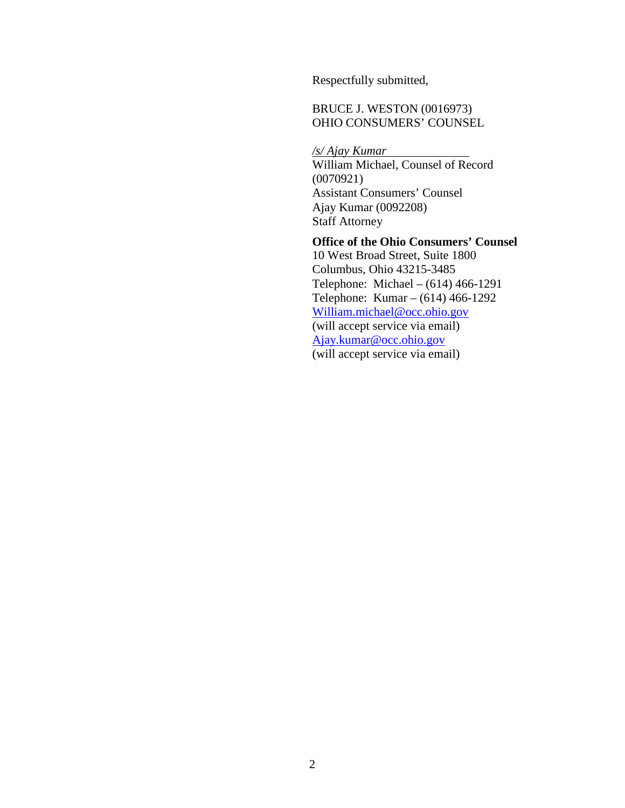Respectfully submitted,

# BRUCE J. WESTON (0016973) OHIO CONSUMERS' COUNSEL

*/s/ Ajay Kumar*  William Michael, Counsel of Record (0070921) Assistant Consumers' Counsel Ajay Kumar (0092208) Staff Attorney

### **Office of the Ohio Consumers' Counsel**

10 West Broad Street, Suite 1800 Columbus, Ohio 43215-3485 Telephone: Michael – (614) 466-1291 Telephone: Kumar – (614) 466-1292 [William.michael@occ.ohio.gov](mailto:William.michael@occ.ohio.gov) (will accept service via email) [Ajay.kumar@occ.ohio.gov](mailto:Ajay.kumar@occ.ohio.gov) (will accept service via email)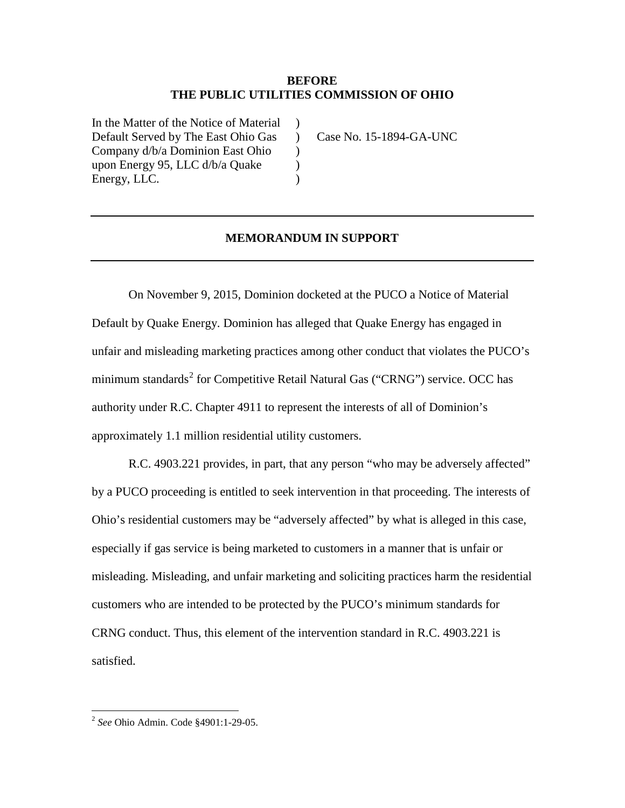#### **BEFORE THE PUBLIC UTILITIES COMMISSION OF OHIO**

 $\lambda$  $\mathcal{L}$  $\mathcal{L}$  $\mathcal{L}$ )

In the Matter of the Notice of Material Default Served by The East Ohio Gas Company d/b/a Dominion East Ohio upon Energy 95, LLC d/b/a Quake Energy, LLC.

Case No. 15-1894-GA-UNC

#### **MEMORANDUM IN SUPPORT**

On November 9, 2015, Dominion docketed at the PUCO a Notice of Material Default by Quake Energy. Dominion has alleged that Quake Energy has engaged in unfair and misleading marketing practices among other conduct that violates the PUCO's minimum standards<sup>[2](#page-2-0)</sup> for Competitive Retail Natural Gas ("CRNG") service. OCC has authority under R.C. Chapter 4911 to represent the interests of all of Dominion's approximately 1.1 million residential utility customers.

R.C. 4903.221 provides, in part, that any person "who may be adversely affected" by a PUCO proceeding is entitled to seek intervention in that proceeding. The interests of Ohio's residential customers may be "adversely affected" by what is alleged in this case, especially if gas service is being marketed to customers in a manner that is unfair or misleading. Misleading, and unfair marketing and soliciting practices harm the residential customers who are intended to be protected by the PUCO's minimum standards for CRNG conduct. Thus, this element of the intervention standard in R.C. 4903.221 is satisfied.

 $\overline{a}$ 

<span id="page-2-0"></span><sup>2</sup> *See* Ohio Admin. Code §4901:1-29-05.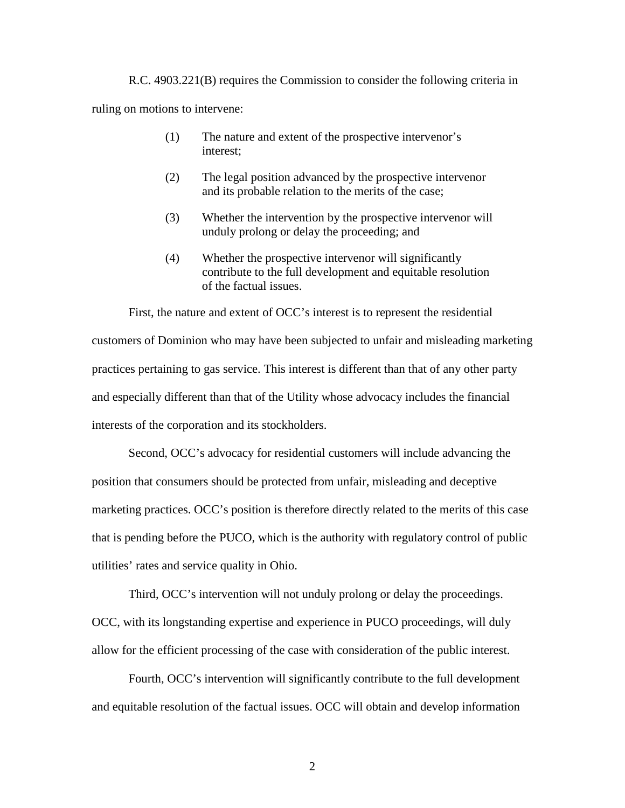R.C. 4903.221(B) requires the Commission to consider the following criteria in ruling on motions to intervene:

- (1) The nature and extent of the prospective intervenor's interest;
- (2) The legal position advanced by the prospective intervenor and its probable relation to the merits of the case;
- (3) Whether the intervention by the prospective intervenor will unduly prolong or delay the proceeding; and
- (4) Whether the prospective intervenor will significantly contribute to the full development and equitable resolution of the factual issues.

First, the nature and extent of OCC's interest is to represent the residential customers of Dominion who may have been subjected to unfair and misleading marketing practices pertaining to gas service. This interest is different than that of any other party and especially different than that of the Utility whose advocacy includes the financial interests of the corporation and its stockholders.

Second, OCC's advocacy for residential customers will include advancing the position that consumers should be protected from unfair, misleading and deceptive marketing practices. OCC's position is therefore directly related to the merits of this case that is pending before the PUCO, which is the authority with regulatory control of public utilities' rates and service quality in Ohio.

Third, OCC's intervention will not unduly prolong or delay the proceedings. OCC, with its longstanding expertise and experience in PUCO proceedings, will duly allow for the efficient processing of the case with consideration of the public interest.

Fourth, OCC's intervention will significantly contribute to the full development and equitable resolution of the factual issues. OCC will obtain and develop information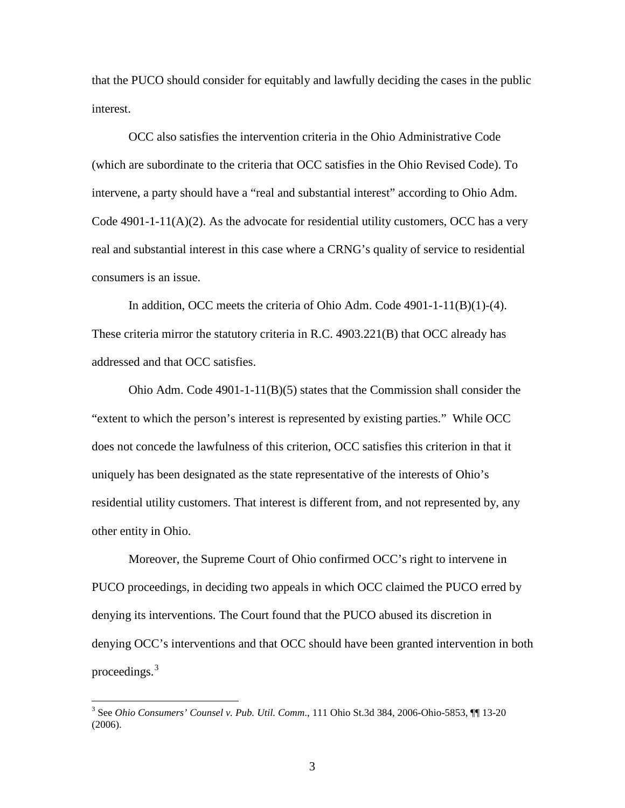that the PUCO should consider for equitably and lawfully deciding the cases in the public interest.

OCC also satisfies the intervention criteria in the Ohio Administrative Code (which are subordinate to the criteria that OCC satisfies in the Ohio Revised Code). To intervene, a party should have a "real and substantial interest" according to Ohio Adm. Code  $4901-1-11(A)(2)$ . As the advocate for residential utility customers, OCC has a very real and substantial interest in this case where a CRNG's quality of service to residential consumers is an issue.

In addition, OCC meets the criteria of Ohio Adm. Code 4901-1-11(B)(1)-(4). These criteria mirror the statutory criteria in R.C. 4903.221(B) that OCC already has addressed and that OCC satisfies.

Ohio Adm. Code 4901-1-11(B)(5) states that the Commission shall consider the "extent to which the person's interest is represented by existing parties." While OCC does not concede the lawfulness of this criterion, OCC satisfies this criterion in that it uniquely has been designated as the state representative of the interests of Ohio's residential utility customers. That interest is different from, and not represented by, any other entity in Ohio.

Moreover, the Supreme Court of Ohio confirmed OCC's right to intervene in PUCO proceedings, in deciding two appeals in which OCC claimed the PUCO erred by denying its interventions. The Court found that the PUCO abused its discretion in denying OCC's interventions and that OCC should have been granted intervention in both proceedings.[3](#page-4-0)

 $\overline{a}$ 

<span id="page-4-0"></span><sup>3</sup> See *Ohio Consumers' Counsel v. Pub. Util. Comm*., 111 Ohio St.3d 384, 2006-Ohio-5853, ¶¶ 13-20 (2006).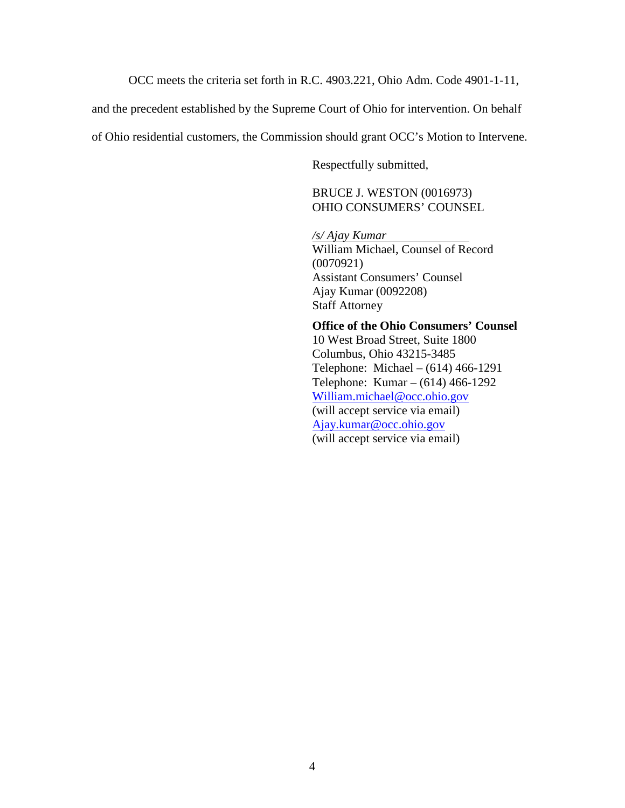OCC meets the criteria set forth in R.C. 4903.221, Ohio Adm. Code 4901-1-11,

and the precedent established by the Supreme Court of Ohio for intervention. On behalf

of Ohio residential customers, the Commission should grant OCC's Motion to Intervene.

Respectfully submitted,

BRUCE J. WESTON (0016973) OHIO CONSUMERS' COUNSEL

*/s/ Ajay Kumar*  William Michael, Counsel of Record (0070921) Assistant Consumers' Counsel Ajay Kumar (0092208) Staff Attorney

**Office of the Ohio Consumers' Counsel** 10 West Broad Street, Suite 1800 Columbus, Ohio 43215-3485 Telephone: Michael – (614) 466-1291 Telephone: Kumar – (614) 466-1292 [William.michael@occ.ohio.gov](mailto:William.michael@occ.ohio.gov) (will accept service via email) [Ajay.kumar@occ.ohio.gov](mailto:Ajay.kumar@occ.ohio.gov) (will accept service via email)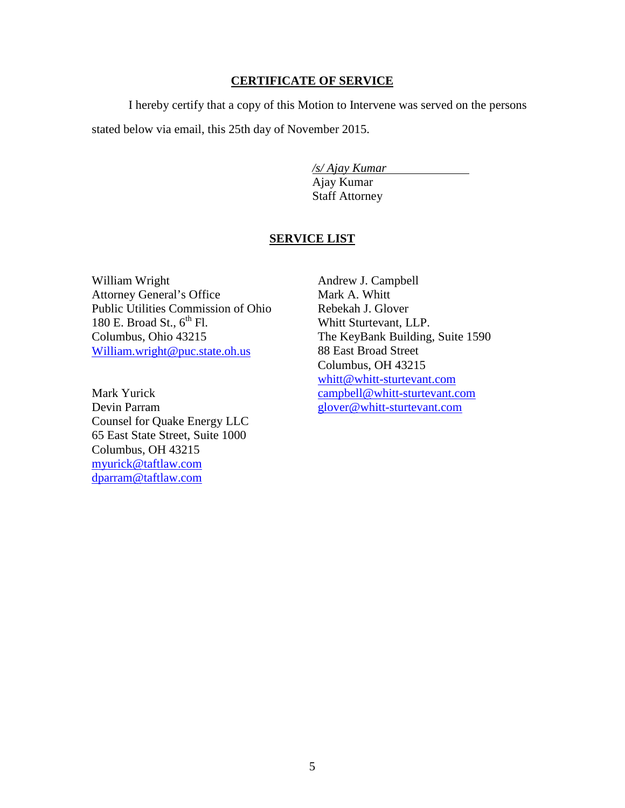### **CERTIFICATE OF SERVICE**

I hereby certify that a copy of this Motion to Intervene was served on the persons stated below via email, this 25th day of November 2015.

> */s/ Ajay Kumar*  Ajay Kumar Staff Attorney

# **SERVICE LIST**

William Wright Attorney General's Office Public Utilities Commission of Ohio 180 E. Broad St.,  $6^{th}$  Fl. Columbus, Ohio 43215 [William.wright@puc.state.oh.us](mailto:William.wright@puc.state.oh.us)

Mark Yurick Devin Parram Counsel for Quake Energy LLC 65 East State Street, Suite 1000 Columbus, OH 43215 [myurick@taftlaw.com](mailto:myurick@taftlaw.com) [dparram@taftlaw.com](mailto:dparram@taftlaw.com)

Andrew J. Campbell Mark A. Whitt Rebekah J. Glover Whitt Sturtevant, LLP. The KeyBank Building, Suite 1590 88 East Broad Street Columbus, OH 43215 [whitt@whitt-sturtevant.com](mailto:whitt@whitt-sturtevant.com) [campbell@whitt-sturtevant.com](mailto:campbell@whitt-sturtevant.com) [glover@whitt-sturtevant.com](mailto:glover@whitt-sturtevant.com)